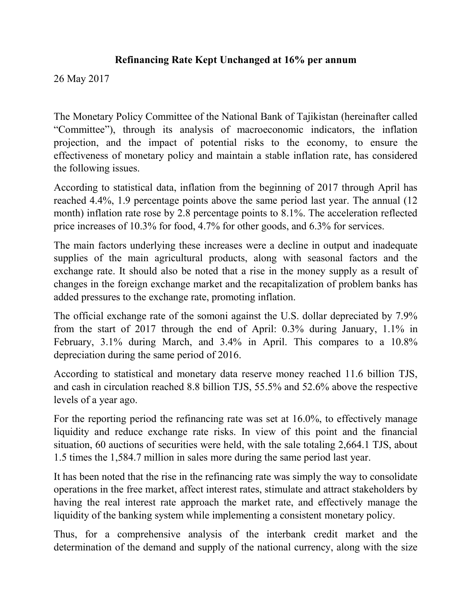## **Refinancing Rate Kept Unchanged at 16% per annum**

26 May 2017

The Monetary Policy Committee of the National Bank of Tajikistan (hereinafter called "Committee"), through its analysis of macroeconomic indicators, the inflation projection, and the impact of potential risks to the economy, to ensure the effectiveness of monetary policy and maintain a stable inflation rate, has considered the following issues.

According to statistical data, inflation from the beginning of 2017 through April has reached 4.4%, 1.9 percentage points above the same period last year. The annual (12 month) inflation rate rose by 2.8 percentage points to 8.1%. The acceleration reflected price increases of 10.3% for food, 4.7% for other goods, and 6.3% for services.

The main factors underlying these increases were a decline in output and inadequate supplies of the main agricultural products, along with seasonal factors and the exchange rate. It should also be noted that a rise in the money supply as a result of changes in the foreign exchange market and the recapitalization of problem banks has added pressures to the exchange rate, promoting inflation.

The official exchange rate of the somoni against the U.S. dollar depreciated by 7.9% from the start of 2017 through the end of April: 0.3% during January, 1.1% in February, 3.1% during March, and 3.4% in April. This compares to a 10.8% depreciation during the same period of 2016.

According to statistical and monetary data reserve money reached 11.6 billion TJS, and cash in circulation reached 8.8 billion TJS, 55.5% and 52.6% above the respective levels of a year ago.

For the reporting period the refinancing rate was set at 16.0%, to effectively manage liquidity and reduce exchange rate risks. In view of this point and the financial situation, 60 auctions of securities were held, with the sale totaling 2,664.1 TJS, about 1.5 times the 1,584.7 million in sales more during the same period last year.

It has been noted that the rise in the refinancing rate was simply the way to consolidate operations in the free market, affect interest rates, stimulate and attract stakeholders by having the real interest rate approach the market rate, and effectively manage the liquidity of the banking system while implementing a consistent monetary policy.

Thus, for a comprehensive analysis of the interbank credit market and the determination of the demand and supply of the national currency, along with the size